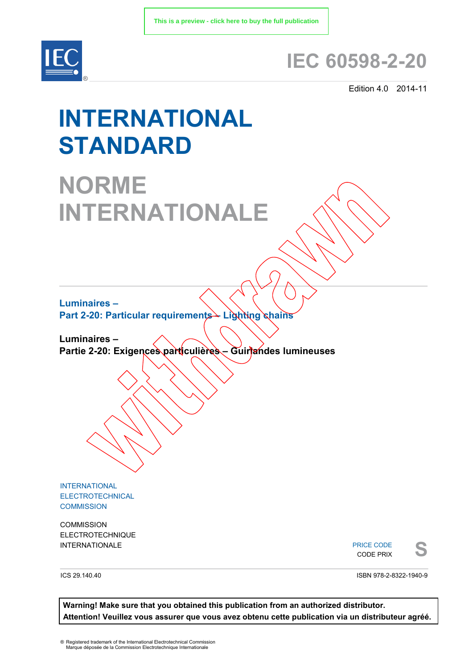

# **IEC 60598-2-20**

Edition 4.0 2014-11

# **INTERNATIONAL STANDARD**

# **NORME INTERNATIONALE**

**Luminaires – Part 2-20: Particular requirements Lighting chains** 

**Luminaires –**  Partie 2-20: Exigences particulières – Guirlandes lumineuses

INTERNATIONAL **ELECTROTECHNICAL COMMISSION** 

**COMMISSION** ELECTROTECHNIQUE

INTERNATIONALE PRICE CODE PRIX PRICE CODE CODE PRIX

ICS 29.140.40

ISBN 978-2-8322-1940-9

**Warning! Make sure that you obtained this publication from an authorized distributor. Attention! Veuillez vous assurer que vous avez obtenu cette publication via un distributeur agréé.**

® Registered trademark of the International Electrotechnical Commission Marque déposée de la Commission Electrotechnique Internationale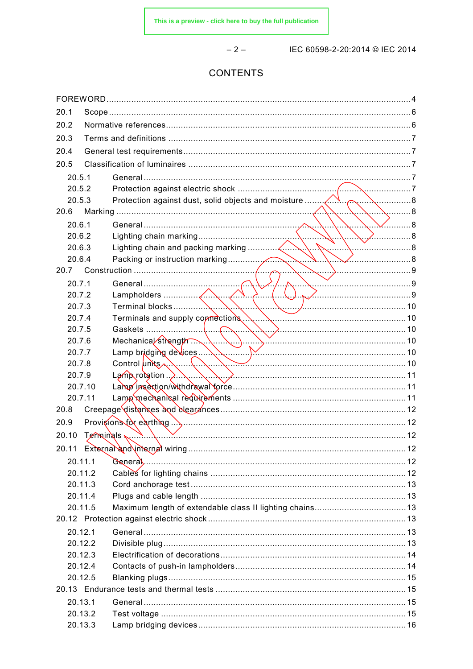$-2-$ 

IEC 60598-2-20:2014 © IEC 2014

# **CONTENTS**

| 20.1    |                       |                                                                                                            |  |
|---------|-----------------------|------------------------------------------------------------------------------------------------------------|--|
| 20.2    |                       |                                                                                                            |  |
| 20.3    |                       |                                                                                                            |  |
| 20.4    |                       |                                                                                                            |  |
| 20.5    |                       |                                                                                                            |  |
| 20.5.1  |                       |                                                                                                            |  |
| 20.5.2  |                       |                                                                                                            |  |
| 20.5.3  |                       |                                                                                                            |  |
| 20.6    |                       | <b>.</b> 8                                                                                                 |  |
| 20.6.1  |                       | $\sim$ 8                                                                                                   |  |
| 20.6.2  |                       | $\ldots \qquad \qquad \lambda$                                                                             |  |
| 20.6.3  |                       |                                                                                                            |  |
| 20.6.4  |                       |                                                                                                            |  |
| 20.7    |                       |                                                                                                            |  |
| 20.7.1  |                       | General $\ldots$ $\ldots$ $\ldots$ $\ldots$ $\ldots$ $\ldots$ $\ldots$ $\ldots$ $\ldots$ $\ldots$ $\ldots$ |  |
| 20.7.2  |                       | $\sum$ 9                                                                                                   |  |
| 20.7.3  |                       |                                                                                                            |  |
| 20.7.4  |                       | Terminals and supply connections<br>10                                                                     |  |
| 20.7.5  |                       |                                                                                                            |  |
| 20.7.6  |                       | Mechanical strength<br>Lamp bridging devices<br>Contract Live of Contract 10                               |  |
| 20.7.7  |                       |                                                                                                            |  |
| 20.7.8  |                       | Control $\mu$ nits (10<br>$L$ amp rotation $\gg$                                                           |  |
| 20.7.9  |                       |                                                                                                            |  |
| 20.7.11 | 20.7.10               |                                                                                                            |  |
| 20.8    |                       |                                                                                                            |  |
| 20.9    |                       |                                                                                                            |  |
|         |                       |                                                                                                            |  |
| 20.10   | $T$ erminals $\sim$ . |                                                                                                            |  |
| 20.11   |                       |                                                                                                            |  |
| 20.11.1 |                       |                                                                                                            |  |
|         | 20.11.2               |                                                                                                            |  |
|         | 20.11.3               |                                                                                                            |  |
|         | 20.11.4               |                                                                                                            |  |
|         | 20.11.5               |                                                                                                            |  |
| 20.12.1 |                       |                                                                                                            |  |
|         | 20.12.2               |                                                                                                            |  |
|         | 20.12.3               |                                                                                                            |  |
|         | 20.12.4               |                                                                                                            |  |
|         | 20.12.5               |                                                                                                            |  |
|         |                       |                                                                                                            |  |
| 20.13.1 |                       |                                                                                                            |  |
|         | 20.13.2               |                                                                                                            |  |
|         | 20.13.3               |                                                                                                            |  |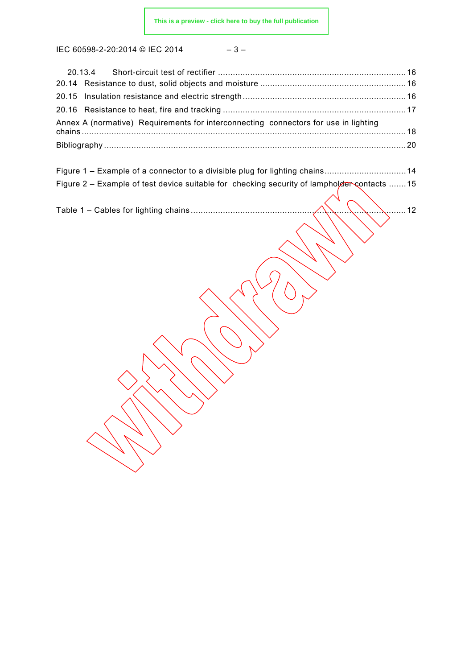IEC 60598-2-20:2014 © IEC 2014 – 3 –

| Annex A (normative) Requirements for interconnecting connectors for use in lighting |  |
|-------------------------------------------------------------------------------------|--|
|                                                                                     |  |

| Figure 1 – Example of a connector to a divisible plug for lighting chains 14 |  |  |  |
|------------------------------------------------------------------------------|--|--|--|
|------------------------------------------------------------------------------|--|--|--|

Figure 2 - Example of test device suitable for checking security of lampholder contacts .......15

Table 1 – Cables for lighting chains ....................................................................................... 12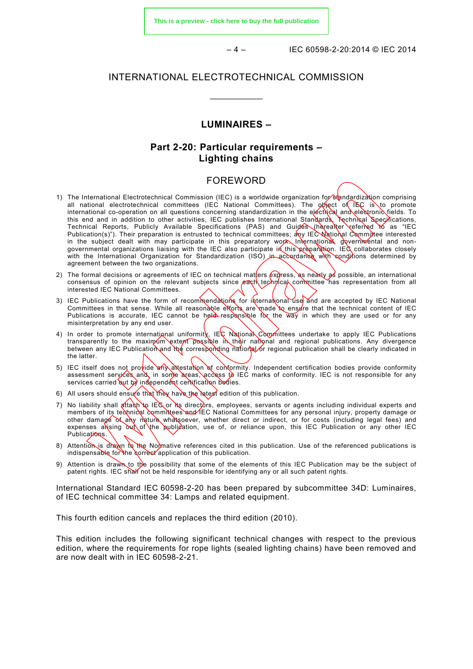**[This is a preview - click here to buy the full publication](https://webstore.iec.ch/publication/2557&preview)**

– 4 – IEC 60598-2-20:2014 © IEC 2014

#### INTERNATIONAL ELECTROTECHNICAL COMMISSION

 $\overline{\phantom{a}}$ 

#### **LUMINAIRES –**

# **Part 2-20: Particular requirements – Lighting chains**

#### FOREWORD

- <span id="page-3-0"></span>1) The International Electrotechnical Commission (IEC) is a worldwide organization for standardization comprising all national electrotechnical committees (IEC National Committees). The object of IEC is to promote international co-operation on all questions concerning standardization in the electrical and electronic fields. To this end and in addition to other activities, IEC publishes International Standards, Technical Specifications, Technical Reports, Publicly Available Specifications (PAS) and Guides (hereafter referred to as "IEC Publication(s)"). Their preparation is entrusted to technical committees;  $\frac{1}{2}$   $\mathbb{R}$   $\mathbb{R}$   $\mathbb{R}$  ational Committee interested in the subject dealt with may participate in this preparatory work. International, governmental and nongovernmental organizations liaising with the IEC also participate in this preparation. IEC collaborates closely with the International Organization for Standardization (ISO) in accordance with conditions determined by agreement between the two organizations.
- 2) The formal decisions or agreements of IEC on technical matters  $\epsilon x$ gress, as nearly as possible, an international consensus of opinion on the relevant subjects since each technical committee has representation from all interested IEC National Committees.
- 3) IEC Publications have the form of recommendations for international use and are accepted by IEC National Committees in that sense. While all reasonable efforts are made to ensure that the technical content of IEC Publications is accurate, IEC cannot be held responsible for the way in which they are used or for any misinterpretation by any end user.
- 4) In order to promote international uniformity, IEC National Committees undertake to apply IEC Publications transparently to the maximum extent possible in their national and regional publications. Any divergence between any IEC Publication and the corresponding national or regional publication shall be clearly indicated in the latter.
- 5) IEC itself does not provide any attestation of conformity. Independent certification bodies provide conformity assessment seryices and, in some areas, access to IEC marks of conformity. IEC is not responsible for any services carried out by independent certification bodies.
- 6) All users should ensure that they have the latest edition of this publication.
- 7) No liability shall attach to IEC or its directors, employees, servants or agents including individual experts and members of its technical committees and IEC National Committees for any personal injury, property damage or other damage of any nature whatsoever, whether direct or indirect, or for costs (including legal fees) and expenses anising out of the publication, use of, or reliance upon, this IEC Publication or any other IEC Publications.
- 8) Attention is drawn to the Normative references cited in this publication. Use of the referenced publications is indispensable for the correct application of this publication.
- 9) Attention is drawn to the possibility that some of the elements of this IEC Publication may be the subject of patent rights. IEC shall not be held responsible for identifying any or all such patent rights.

International Standard IEC 60598-2-20 has been prepared by subcommittee 34D: Luminaires, of IEC technical committee 34: Lamps and related equipment.

This fourth edition cancels and replaces the third edition (2010).

This edition includes the following significant technical changes with respect to the previous edition, where the requirements for rope lights (sealed lighting chains) have been removed and are now dealt with in IEC 60598-2-21.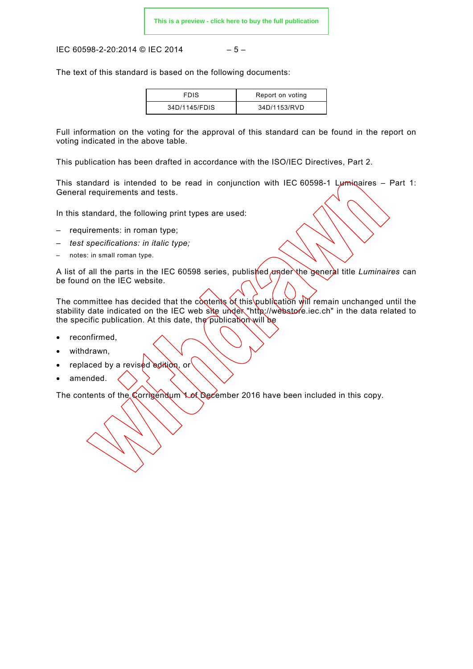IEC 60598-2-20:2014 © IEC 2014 – 5 –

The text of this standard is based on the following documents:

| <b>FDIS</b>   | Report on voting |
|---------------|------------------|
| 34D/1145/FDIS | 34D/1153/RVD     |

Full information on the voting for the approval of this standard can be found in the report on voting indicated in the above table.

This publication has been drafted in accordance with the ISO/IEC Directives, Part 2.

This standard is intended to be read in conjunction with IEC 60598-1 Luminaires - Part 1: General requirements and tests.

In this standard, the following print types are used:

- requirements: in roman type;
- *test specifications: in italic type;*
- notes: in small roman type.

A list of all the parts in the IEC 60598 series, published ander the general title *Luminaires* can be found on the IEC website.

The committee has decided that the contents of this publication will remain unchanged until the stability date indicated on the IEC web site under "http://webstore.iec.ch" in the data related to the specific publication. At this date, the publication will be

- reconfirmed,
- withdrawn,
- replaced by a revised edition, or
- amended.

The contents of the Corrigendum Lot December 2016 have been included in this copy.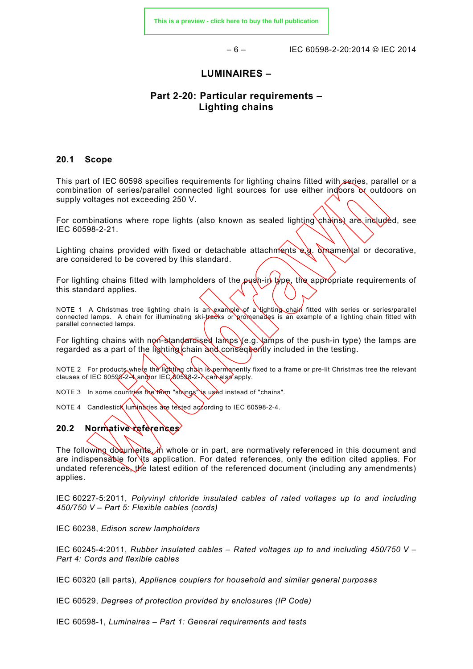– 6 – IEC 60598-2-20:2014 © IEC 2014

#### **LUMINAIRES –**

## **Part 2-20: Particular requirements – Lighting chains**

#### <span id="page-5-0"></span>**20.1 Scope**

This part of IEC 60598 specifies requirements for lighting chains fitted with series, parallel or a combination of series/parallel connected light sources for use either indoors or outdoors on supply voltages not exceeding 250 V.

For combinations where rope lights (also known as sealed lighting chains) are included, see IEC 60598-2-21.

Lighting chains provided with fixed or detachable attachments  $e, g$ .  $\alpha$  hamental or decorative, are considered to be covered by this standard.

For lighting chains fitted with lampholders of the  $p\psi$ sh-in type, the appropriate requirements of this standard applies.

NOTE 1 A Christmas tree lighting chain is an example of a lighting chain fitted with series or series/parallel connected lamps. A chain for illuminating ski-tracks or promenades is an example of a lighting chain fitted with parallel connected lamps.

For lighting chains with non-standardised lamps (e.g. lamps of the push-in type) the lamps are regarded as a part of the lighting chain and consequently included in the testing.

NOTE 2 For products where the lighting chain is permanently fixed to a frame or pre-lit Christmas tree the relevant clauses of IEC 60598-2-4 and/or IEC 60598-2-7 can also apply.

NOTE 3 In some countries the term "strings" is used instead of "chains".

NOTE 4 Candlestick luminaries are tested according to IEC 60598-2-4.

# <span id="page-5-1"></span>**20.2 Normative references**

The following documents, in whole or in part, are normatively referenced in this document and are indispensable for its application. For dated references, only the edition cited applies. For undated references, the latest edition of the referenced document (including any amendments) applies.

IEC 60227-5:2011, *Polyvinyl chloride insulated cables of rated voltages up to and including 450/750 V – Part 5: Flexible cables (cords)*

IEC 60238, *Edison screw lampholders*

IEC 60245-4:2011, *Rubber insulated cables – Rated voltages up to and including 450/750 V – Part 4: Cords and flexible cables*

IEC 60320 (all parts), *Appliance couplers for household and similar general purposes*

IEC 60529, *Degrees of protection provided by enclosures (IP Code)*

IEC 60598-1, *Luminaires – Part 1: General requirements and tests*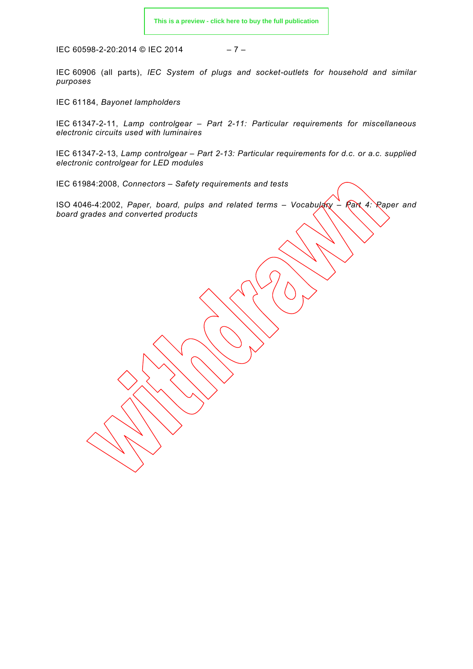IEC 60598-2-20:2014 © IEC 2014 – 7 –

IEC 60906 (all parts), *IEC System of plugs and socket-outlets for household and similar purposes*

IEC 61184, *Bayonet lampholders*

**sealed lighting chain** 

<span id="page-6-4"></span><span id="page-6-3"></span><span id="page-6-2"></span><span id="page-6-1"></span> $N$  to entry: Covered by IEC 60598-2-21.

IEC 61347-2-11, *Lamp controlgear – Part 2-11: Particular requirements for miscellaneous electronic circuits used with luminaires*

IEC 61347-2-13, *Lamp controlgear – Part 2-13: Particular requirements for d.c. or a.c. supplied electronic controlgear for LED modules*

IEC 61984:2008, *Connectors – Safety requirements and tests*

<span id="page-6-0"></span>ISO 4046-4:2002, Paper, board, pulps and related terms – Vocabulary – Rart 4: Raper and *board grades and converted products*

For the purpose of the terms and definitions given in  $\mathcal{L}(\mathcal{A})$ 

luminaire comprising an assembly of series-connected lamps, parallel-connected lamps or

 $\mathcal{N} \subset \mathcal{N}$  to entry with non-standardised lamps (e.g. lamps are lamps are lamps are lamps are lamps are lamps are lamps are lamps are lamps are lamps are lamps are lamps are lamps are lamps are lamps are lamps are l

lighting chain with non-replaceable light sources enclosed in a rigid or flexible insulating insulating insulating  $\mathcal{L}(\mathbf{r})$ 

 $\mathcal{L}(\mathcal{A})$  to entry and removal lamps are regarded as part of the lamps are regarded as part of the chains are regarded as part of the chains are regarded as part of the chain. In the chain  $\mathcal{L}(\mathcal{A})$ 

Note 3 to entry: A lighting chain may incorporate control devices (e.g. flasher units, see 20.7.8).

Note 4 to entry: Unless otherwise stated, references to lamps within this standard also refer to LEDs.

series and interconnected lamps and interconnecting interconnections  $\mathcal{L}(\mathcal{A})$ 

translucent pipe or tube, sealed at the ends, with or with or with or with or with or with or with or with or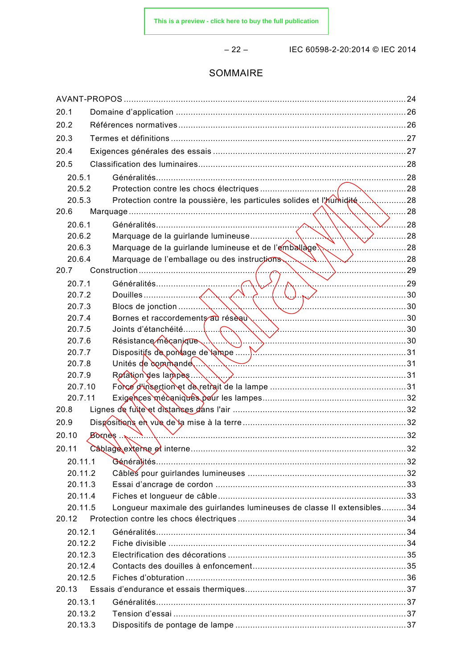$-22-$ 

IEC 60598-2-20:2014 © IEC 2014

# SOMMAIRE

| AVANT-PROPOS     |                                                                              |    |  |
|------------------|------------------------------------------------------------------------------|----|--|
| 20.1             |                                                                              |    |  |
| 20.2             |                                                                              |    |  |
| 20.3             |                                                                              |    |  |
| 20.4             |                                                                              |    |  |
| 20.5             |                                                                              |    |  |
| 20.5.1           |                                                                              |    |  |
| 20.5.2           |                                                                              |    |  |
| 20.5.3           | Protection contre la poussière, les particules solides et l'humidité 28      |    |  |
| 20.6             | $\frac{1}{2}$ 28                                                             |    |  |
| 20.6.1           | /28                                                                          |    |  |
| 20.6.2           |                                                                              |    |  |
| 20.6.3           | Marquage de la guirlande lumineuse et de l'emballage\\minidentialminidations |    |  |
| 20.6.4           | $\sim$ 28                                                                    |    |  |
| 20.7             |                                                                              |    |  |
| 20.7.1           |                                                                              |    |  |
| 20.7.2           | $\lambda$ 30                                                                 |    |  |
| 20.7.3           |                                                                              |    |  |
| 20.7.4           |                                                                              |    |  |
| 20.7.5           |                                                                              |    |  |
| 20.7.6<br>20.7.7 |                                                                              |    |  |
| 20.7.8           |                                                                              |    |  |
| 20.7.9           |                                                                              |    |  |
| 20.7.10          |                                                                              |    |  |
| 20.7.11          |                                                                              |    |  |
| 20.8             |                                                                              |    |  |
| 20.9             |                                                                              |    |  |
| 20.10            | $\beta$ okneg                                                                |    |  |
| 20.11            |                                                                              | 32 |  |
| 20.11.1          |                                                                              |    |  |
| 20.11.2          |                                                                              |    |  |
| 20.11.3          |                                                                              |    |  |
| 20.11.4          |                                                                              |    |  |
| 20.11.5          | Longueur maximale des guirlandes lumineuses de classe II extensibles34       |    |  |
| 20.12            |                                                                              |    |  |
| 20.12.1          |                                                                              |    |  |
| 20.12.2          |                                                                              |    |  |
| 20.12.3          |                                                                              |    |  |
| 20.12.4          |                                                                              |    |  |
| 20.12.5          |                                                                              |    |  |
| 20.13            |                                                                              |    |  |
| 20.13.1          |                                                                              |    |  |
| 20.13.2          |                                                                              |    |  |
| 20.13.3          |                                                                              |    |  |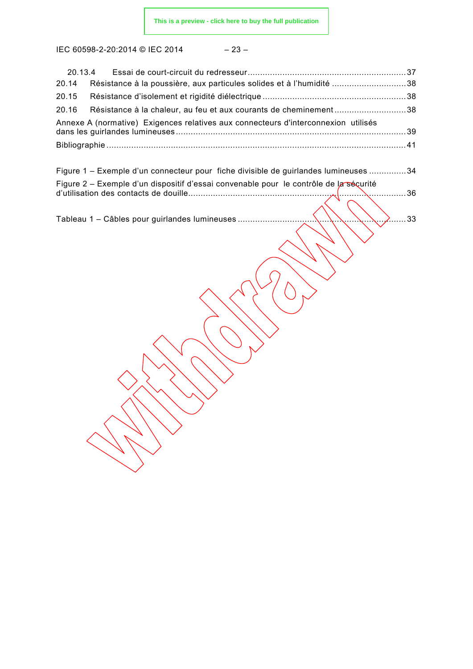IEC 60598-2-20:2014 © IEC 2014 - 23 -

| 20.14 Résistance à la poussière, aux particules solides et à l'humidité 38         |  |
|------------------------------------------------------------------------------------|--|
|                                                                                    |  |
| 20.16 Résistance à la chaleur, au feu et aux courants de cheminement38             |  |
| Annexe A (normative) Exigences relatives aux connecteurs d'interconnexion utilisés |  |
|                                                                                    |  |

| Figure 1 – Exemple d'un connecteur pour fiche divisible de guirlandes lumineuses 34   |  |
|---------------------------------------------------------------------------------------|--|
| Figure 2 - Exemple d'un dispositif d'essai convenable pour le contrôle de la séqurité |  |
|                                                                                       |  |

Tableau 1 – Câbles pour guirlandes lumineuses ....................................................................33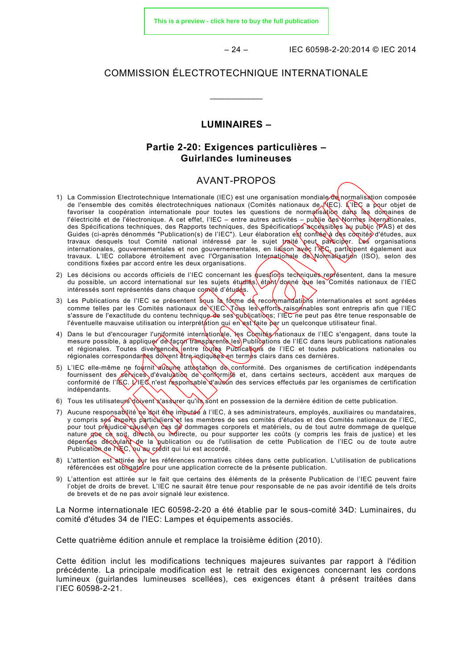**[This is a preview - click here to buy the full publication](https://webstore.iec.ch/publication/2557&preview)**

– 24 – IEC 60598-2-20:2014 © IEC 2014

#### COMMISSION ÉLECTROTECHNIQUE INTERNATIONALE

 $\overline{\phantom{a}}$ 

#### **LUMINAIRES –**

# **Partie 2-20: Exigences particulières – Guirlandes lumineuses**

#### AVANT-PROPOS

- <span id="page-9-0"></span>1) La Commission Electrotechnique Internationale (IEC) est une organisation mondiale de normalisation composée de l'ensemble des comités électrotechniques nationaux (Comités nationaux de l'EC). L'IEC a pour objet de favoriser la coopération internationale pour toutes les questions de normalisation dans les domaines de l'électricité et de l'électronique. A cet effet, l'IEC – entre autres activités – publie des Normes internationales, des Spécifications techniques, des Rapports techniques, des Spécifications accessibles au public (PAS) et des Guides (ci-après dénommés "Publication(s) de l'IEC"). Leur élaboration est confiée à des comités d'études, aux travaux desquels tout Comité national intéressé par le sujet traité peut participer. Les organisations internationales, gouvernementales et non gouvernementales, en liaison avèc l'NEC, participent également aux travaux. L'IEC collabore étroitement avec l'Organisation Internationale de Normalisation (ISO), selon des conditions fixées par accord entre les deux organisations.
- 2) Les décisions ou accords officiels de l'IEC concernant les questions techniques représentent, dans la mesure du possible, un accord international sur les sujets étudiés, étant/donné que les Comités nationaux de l'IEC intéressés sont représentés dans chaque comité d'études.
- 3) Les Publications de l'IEC se présentent sous la forme de recommandations internationales et sont agréées comme telles par les Comités nationaux de l'IEC. Tous les efforts raisonnables sont entrepris afin que l'IEC s'assure de l'exactitude du contenu technique de ses publications; l'IEC ne peut pas être tenue responsable de l'éventuelle mauvaise utilisation ou interprététion qui en est taite par un quelconque utilisateur final.
- 4) Dans le but d'encourager l'uniformité internationale, les Comités nationaux de l'IEC s'engagent, dans toute la mesure possible, à appliquer de façon transparente les Publications de l'IEC dans leurs publications nationales et régionales. Toutes divergences entre toutes Publications de l'IEC et toutes publications nationales ou régionales correspondantes doivent être indiquées en termes clairs dans ces dernières.
- 5) L'IEC elle-même ne fournit aucune attestation de conformité. Des organismes de certification indépendants fournissent des services d'évaluation de conformité et, dans certains secteurs, accèdent aux marques de conformité de l'IEC. L'IEC n'est responsable d'aucun des services effectués par les organismes de certification indépendants.
- 6) Tous les utilisateurs doivent s'assurer qu'ils, sont en possession de la dernière édition de cette publication.
- 7) Aucune responsabilité ne doit être imputée à l'IEC, à ses administrateurs, employés, auxiliaires ou mandataires, y compris ses experts particuliers et les membres de ses comités d'études et des Comités nationaux de l'IEC, pour tout préjudice causé en cas de dommages corporels et matériels, ou de tout autre dommage de quelque nature gue ce soit, directe ou indirecte, ou pour supporter les coûts (y compris les frais de justice) et les dépenses découlant de la publication ou de l'utilisation de cette Publication de l'IEC ou de toute autre Publication de l'EC, ou au crédit qui lui est accordé.
- 8) L'attention est attirée sur les références normatives citées dans cette publication. L'utilisation de publications référencées est obligatoire pour une application correcte de la présente publication.
- 9) L'attention est attirée sur le fait que certains des éléments de la présente Publication de l'IEC peuvent faire l'objet de droits de brevet. L'IEC ne saurait être tenue pour responsable de ne pas avoir identifié de tels droits de brevets et de ne pas avoir signalé leur existence.

La Norme internationale IEC 60598-2-20 a été établie par le sous-comité 34D: Luminaires, du comité d'études 34 de l'IEC: Lampes et équipements associés.

Cette quatrième édition annule et remplace la troisième édition (2010).

Cette édition inclut les modifications techniques majeures suivantes par rapport à l'édition précédente. La principale modification est le retrait des exigences concernant les cordons lumineux (guirlandes lumineuses scellées), ces exigences étant à présent traitées dans l'IEC 60598-2-21.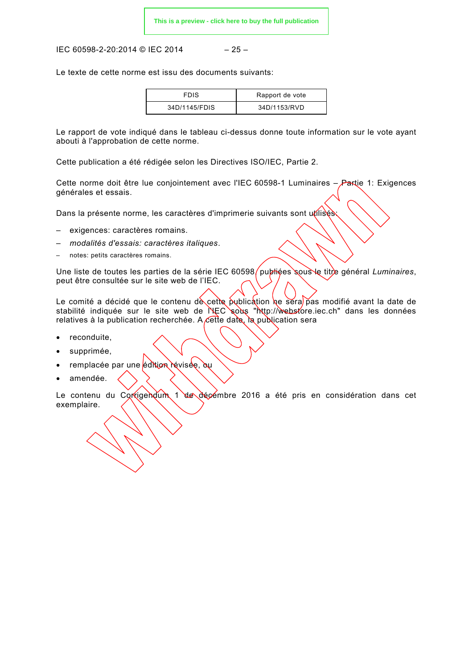IEC 60598-2-20:2014 © IEC 2014 – 25 –

Le texte de cette norme est issu des documents suivants:

| <b>FDIS</b>   | Rapport de vote |  |
|---------------|-----------------|--|
| 34D/1145/FDIS | 34D/1153/RVD    |  |

Le rapport de vote indiqué dans le tableau ci-dessus donne toute information sur le vote ayant abouti à l'approbation de cette norme.

Cette publication a été rédigée selon les Directives ISO/IEC, Partie 2.

Cette norme doit être lue conjointement avec l'IEC 60598-1 Luminaires - Partie 1: Exigences générales et essais.

Dans la présente norme, les caractères d'imprimerie suivants sont utilisés

- exigences: caractères romains.
- *modalités d'essais: caractères italiques*.
- notes: petits caractères romains.

Une liste de toutes les parties de la série IEC 60598/publiées sous le titre général *Luminaires*, peut être consultée sur le site web de l'IEC.

Le comité a décidé que le contenu de cette publication ne sera pas modifié avant la date de stabilité indiquée sur le site web de l'IEC sous "http://webstore.iec.ch" dans les données relatives à la publication recherchée. A cette date, la publication sera

- reconduite,
- supprimée,
- remplacée par une édition révisée, ou
- amendée.

Le contenu du Corrigendum 1 de décémbre 2016 a été pris en considération dans cet exemplaire.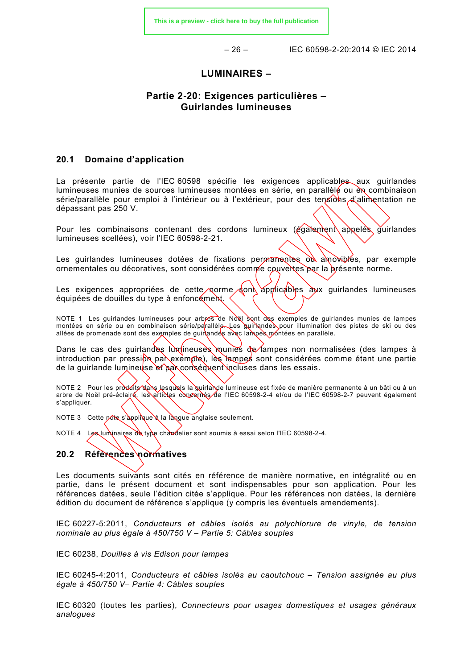$-26 -$  IEC 60598-2-20:2014 © IEC 2014

#### **LUMINAIRES –**

#### **Partie 2-20: Exigences particulières – Guirlandes lumineuses**

#### <span id="page-11-0"></span>**20.1 Domaine d'application**

La présente partie de l'IEC 60598 spécifie les exigences applicables aux guirlandes lumineuses munies de sources lumineuses montées en série, en parallèlé ou en combinaison série/parallèle pour emploi à l'intérieur ou à l'extérieur, pour des tensions d'alimentation ne dépassant pas 250 V.

Pour les combinaisons contenant des cordons lumineux (également appelés guirlandes lumineuses scellées), voir l'IEC 60598-2-21.

Les guirlandes lumineuses dotées de fixations per $m$ anentes ou amoviblés, par exemple ornementales ou décoratives, sont considérées comme couvertes par la présente norme.

Les exigences appropriées de cette norme sont applicables aux guirlandes lumineuses équipées de douilles du type à enfoncement.

NOTE 1 Les guirlandes lumineuses pour arbres de Noël sont des exemples de guirlandes munies de lampes montées en série ou en combinaison série/parallèle. Les guirlandes pour illumination des pistes de ski ou des allées de promenade sont des exemples de guirlandes avec lampes móntées en parallèle.

Dans le cas des guirlandes lumineuses munies de lampes non normalisées (des lampes à introduction par pression par exemple), les lampes sont considérées comme étant une partie de la guirlande lumineuse et par conséquent incluses dans les essais.

NOTE 2 Pour les produits dans lesquels la guirlande lumineuse est fixée de manière permanente à un bâti ou à un arbre de Noël pré-éclairé, les articles concernés de l'IEC 60598-2-4 et/ou de l'IEC 60598-2-7 peuvent également s'appliquer.

NOTE 3 Cette pote s'applique à la langue anglaise seulement.

NOTE 4 Les luminaires de type chandelier sont soumis à essai selon l'IEC 60598-2-4.

# <span id="page-11-1"></span>**20.2 Références normatives**

Les documents suivants sont cités en référence de manière normative, en intégralité ou en partie, dans le présent document et sont indispensables pour son application. Pour les références datées, seule l'édition citée s'applique. Pour les références non datées, la dernière édition du document de référence s'applique (y compris les éventuels amendements).

IEC 60227-5:2011, *Conducteurs et câbles isolés au polychlorure de vinyle, de tension nominale au plus égale à 450/750 V – Partie 5: Câbles souples*

IEC 60238, *Douilles à vis Edison pour lampes*

IEC 60245-4:2011, *Conducteurs et câbles isolés au caoutchouc – Tension assignée au plus égale à 450/750 V– Partie 4: Câbles souples*

IEC 60320 (toutes les parties), *Connecteurs pour usages domestiques et usages généraux analogues*